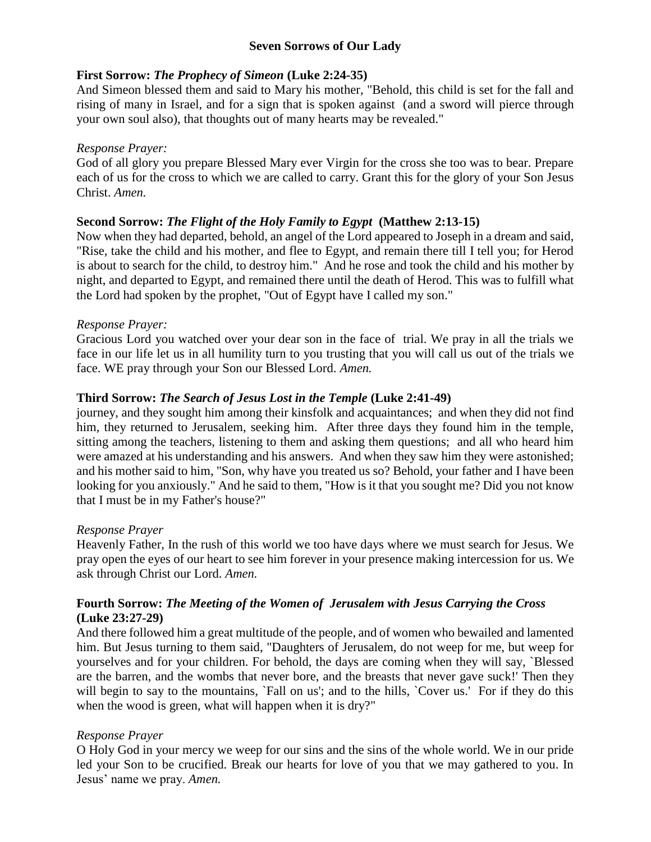# **Seven Sorrows of Our Lady**

## **First Sorrow:** *The Prophecy of Simeon* **(Luke 2:24-35)**

And Simeon blessed them and said to Mary his mother, "Behold, this child is set for the fall and rising of many in Israel, and for a sign that is spoken against (and a sword will pierce through your own soul also), that thoughts out of many hearts may be revealed."

## *Response Prayer:*

God of all glory you prepare Blessed Mary ever Virgin for the cross she too was to bear. Prepare each of us for the cross to which we are called to carry. Grant this for the glory of your Son Jesus Christ. *Amen.* 

# **Second Sorrow:** *The Flight of the Holy Family to Egypt* **(Matthew 2:13-15)**

Now when they had departed, behold, an angel of the Lord appeared to Joseph in a dream and said, "Rise, take the child and his mother, and flee to Egypt, and remain there till I tell you; for Herod is about to search for the child, to destroy him." And he rose and took the child and his mother by night, and departed to Egypt, and remained there until the death of Herod. This was to fulfill what the Lord had spoken by the prophet, "Out of Egypt have I called my son."

## *Response Prayer:*

Gracious Lord you watched over your dear son in the face of trial. We pray in all the trials we face in our life let us in all humility turn to you trusting that you will call us out of the trials we face. WE pray through your Son our Blessed Lord. *Amen.* 

# **Third Sorrow:** *The Search of Jesus Lost in the Temple* **(Luke 2:41-49)**

journey, and they sought him among their kinsfolk and acquaintances; and when they did not find him, they returned to Jerusalem, seeking him. After three days they found him in the temple, sitting among the teachers, listening to them and asking them questions; and all who heard him were amazed at his understanding and his answers. And when they saw him they were astonished; and his mother said to him, "Son, why have you treated us so? Behold, your father and I have been looking for you anxiously." And he said to them, "How is it that you sought me? Did you not know that I must be in my Father's house?"

### *Response Prayer*

Heavenly Father, In the rush of this world we too have days where we must search for Jesus. We pray open the eyes of our heart to see him forever in your presence making intercession for us. We ask through Christ our Lord. *Amen.*

## **Fourth Sorrow:** *The Meeting of the Women of Jerusalem with Jesus Carrying the Cross*  **(Luke 23:27-29)**

And there followed him a great multitude of the people, and of women who bewailed and lamented him. But Jesus turning to them said, "Daughters of Jerusalem, do not weep for me, but weep for yourselves and for your children. For behold, the days are coming when they will say, `Blessed are the barren, and the wombs that never bore, and the breasts that never gave suck!' Then they will begin to say to the mountains, `Fall on us'; and to the hills, `Cover us.' For if they do this when the wood is green, what will happen when it is dry?"

# *Response Prayer*

O Holy God in your mercy we weep for our sins and the sins of the whole world. We in our pride led your Son to be crucified. Break our hearts for love of you that we may gathered to you. In Jesus' name we pray. *Amen.*